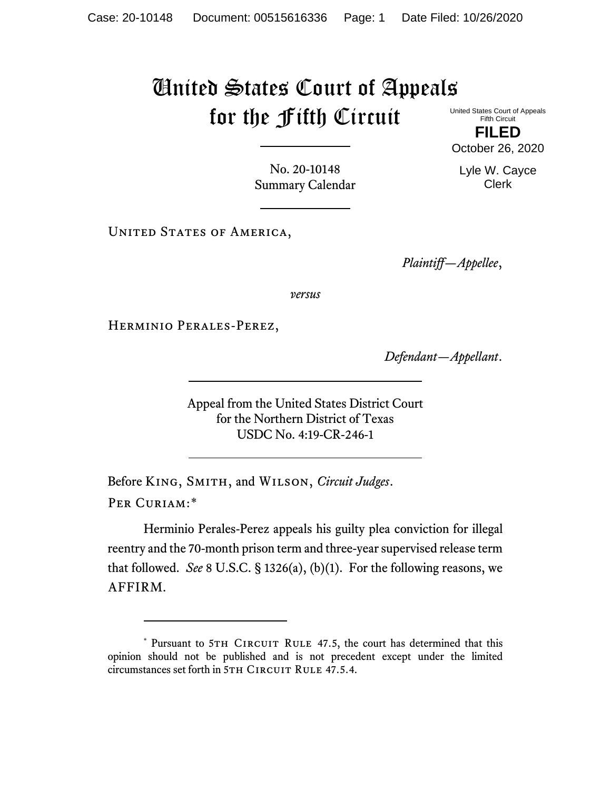## United States Court of Appeals for the Fifth Circuit United States Court of Appeals

Fifth Circuit **FILED**

October 26, 2020

Lyle W. Cayce Clerk

No. 20-10148 Summary Calendar

UNITED STATES OF AMERICA,

*Plaintiff—Appellee*,

*versus*

Herminio Perales-Perez,

*Defendant—Appellant*.

Appeal from the United States District Court for the Northern District of Texas USDC No. 4:19-CR-246-1

Before King, Smith, and Wilson, *Circuit Judges*. Per Curiam:[\\*](#page-0-0)

Herminio Perales-Perez appeals his guilty plea conviction for illegal reentry and the 70-month prison term and three-year supervised release term that followed. *See* 8 U.S.C. § 1326(a), (b)(1). For the following reasons, we AFFIRM.

<span id="page-0-0"></span><sup>\*</sup> Pursuant to 5TH CIRCUIT RULE 47.5, the court has determined that this opinion should not be published and is not precedent except under the limited circumstances set forth in 5TH CIRCUIT RULE 47.5.4.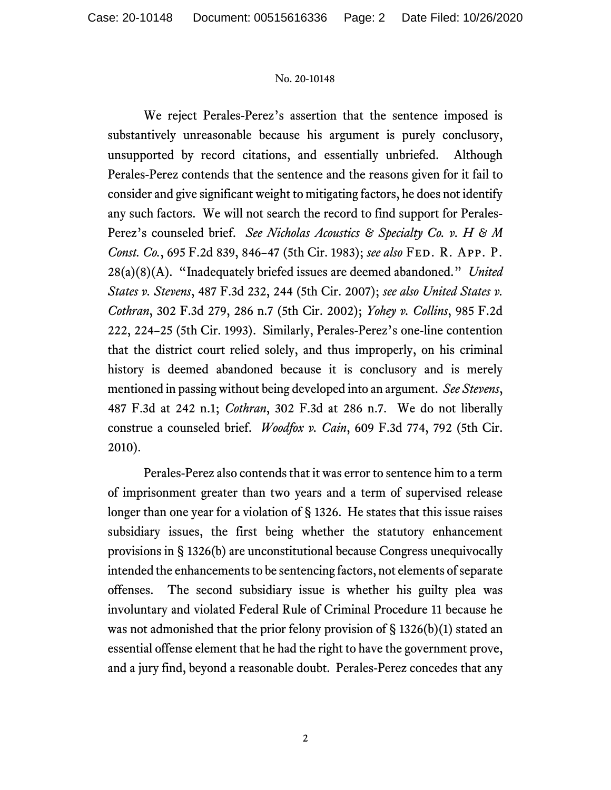## No. 20-10148

We reject Perales-Perez's assertion that the sentence imposed is substantively unreasonable because his argument is purely conclusory, unsupported by record citations, and essentially unbriefed. Although Perales-Perez contends that the sentence and the reasons given for it fail to consider and give significant weight to mitigating factors, he does not identify any such factors. We will not search the record to find support for Perales-Perez's counseled brief. *See Nicholas Acoustics & Specialty Co. v. H & M Const. Co.*, 695 F.2d 839, 846–47 (5th Cir. 1983); *see also* Fed. R. App. P. 28(a)(8)(A). "Inadequately briefed issues are deemed abandoned." *United States v. Stevens*, 487 F.3d 232, 244 (5th Cir. 2007); *see also United States v. Cothran*, 302 F.3d 279, 286 n.7 (5th Cir. 2002); *Yohey v. Collins*, 985 F.2d 222, 224–25 (5th Cir. 1993). Similarly, Perales-Perez's one-line contention that the district court relied solely, and thus improperly, on his criminal history is deemed abandoned because it is conclusory and is merely mentioned in passing without being developed into an argument. *See Stevens*, 487 F.3d at 242 n.1; *Cothran*, 302 F.3d at 286 n.7. We do not liberally construe a counseled brief. *Woodfox v. Cain*, 609 F.3d 774, 792 (5th Cir. 2010).

Perales-Perez also contends that it was error to sentence him to a term of imprisonment greater than two years and a term of supervised release longer than one year for a violation of § 1326. He states that this issue raises subsidiary issues, the first being whether the statutory enhancement provisions in § 1326(b) are unconstitutional because Congress unequivocally intended the enhancements to be sentencing factors, not elements of separate offenses. The second subsidiary issue is whether his guilty plea was involuntary and violated Federal Rule of Criminal Procedure 11 because he was not admonished that the prior felony provision of  $\S 1326(b)(1)$  stated an essential offense element that he had the right to have the government prove, and a jury find, beyond a reasonable doubt. Perales-Perez concedes that any